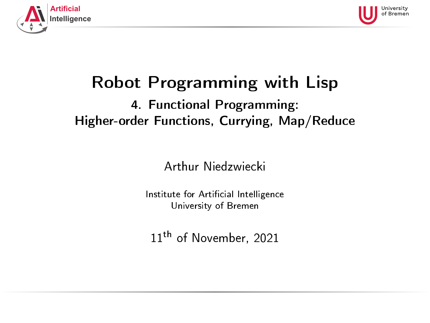<span id="page-0-0"></span>



# Robot Programming with Lisp

#### 4. Functional Programming: Higher-order Functions, Currying, Map/Reduce

Arthur Niedzwiecki

Institute for Artificial Intelligence University of Bremen

11<sup>th</sup> of November, 2021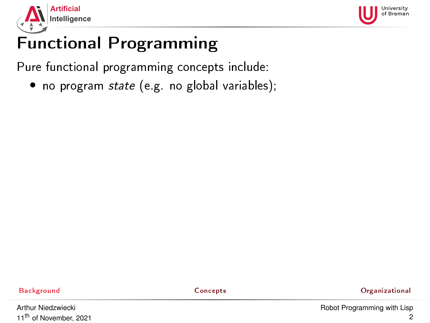<span id="page-1-0"></span>



Pure functional programming concepts include:

• no program state (e.g. no global variables);

[Background](#page-1-0) [Concepts](#page-19-0) [Organizational](#page-47-0)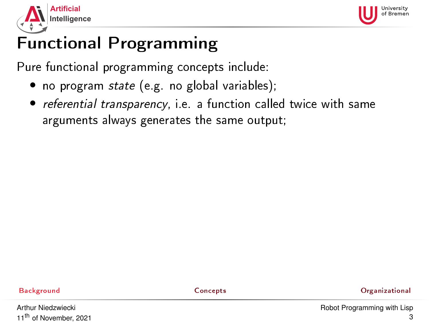



- no program state (e.g. no global variables);
- referential transparency, i.e. a function called twice with same arguments always generates the same output;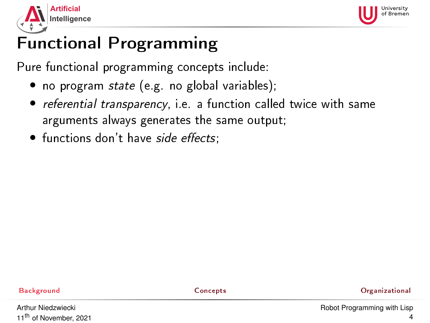



- no program state (e.g. no global variables);
- referential transparency, i.e. a function called twice with same arguments always generates the same output;
- functions don't have side effects;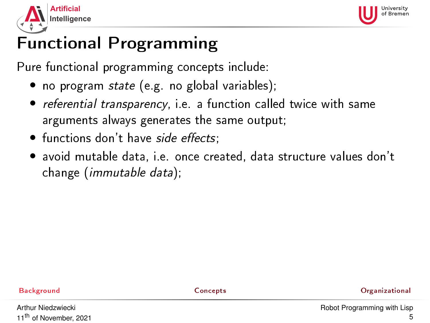



- no program state (e.g. no global variables);
- referential transparency, i.e. a function called twice with same arguments always generates the same output;
- functions don't have side effects;
- avoid mutable data, i.e. once created, data structure values don't change (immutable data);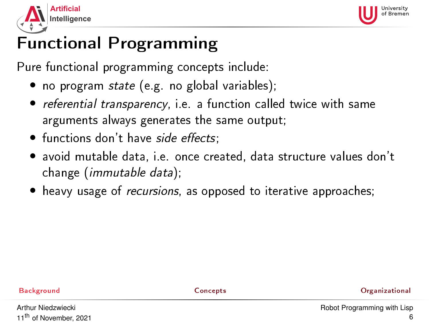



- no program state (e.g. no global variables);
- referential transparency, i.e. a function called twice with same arguments always generates the same output;
- functions don't have side effects;
- avoid mutable data, i.e. once created, data structure values don't change (immutable data);
- heavy usage of *recursions*, as opposed to iterative approaches;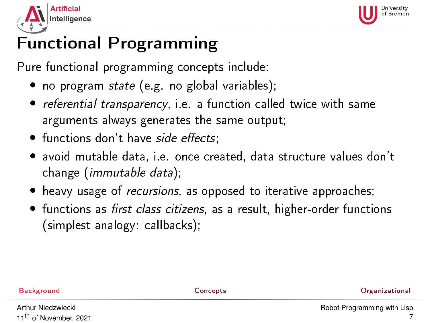



- no program state (e.g. no global variables);
- referential transparency, i.e. a function called twice with same arguments always generates the same output;
- functions don't have side effects;
- avoid mutable data, i.e. once created, data structure values don't change (immutable data);
- heavy usage of *recursions*, as opposed to iterative approaches;
- functions as first class citizens, as a result, higher-order functions (simplest analogy: callbacks);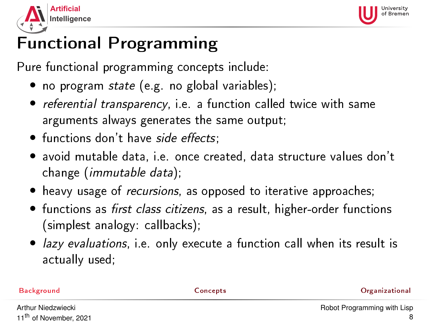



- no program state (e.g. no global variables);
- referential transparency, i.e. a function called twice with same arguments always generates the same output;
- functions don't have side effects;
- avoid mutable data, i.e. once created, data structure values don't change (immutable data);
- heavy usage of recursions, as opposed to iterative approaches;
- functions as first class citizens, as a result, higher-order functions (simplest analogy: callbacks);
- *lazy evaluations*, i.e. only execute a function call when its result is actually used;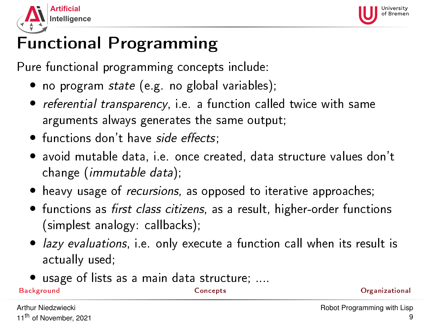<span id="page-8-0"></span>



Pure functional programming concepts include:

- no program state (e.g. no global variables);
- referential transparency, i.e. a function called twice with same arguments always generates the same output;
- functions don't have side effects;
- avoid mutable data, i.e. once created, data structure values don't change (immutable data);
- heavy usage of recursions, as opposed to iterative approaches;
- functions as first class citizens, as a result, higher-order functions (simplest analogy: callbacks);
- lazy evaluations, i.e. only execute a function call when its result is actually used;
- usage of lists as a main data structure; ....

[Background](#page-1-0) [Concepts](#page-19-0) [Organizational](#page-47-0)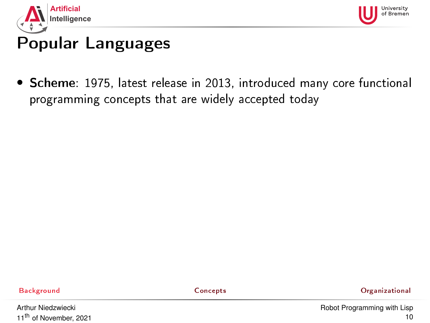<span id="page-9-0"></span>



• Scheme: 1975, latest release in 2013, introduced many core functional programming concepts that are widely accepted today

[Background](#page-1-0) [Concepts](#page-19-0) [Organizational](#page-47-0)

Arthur Niedzwiecki 11<sup>th</sup> of November, 2021 [Robot Programming with Lisp](#page-0-0) 10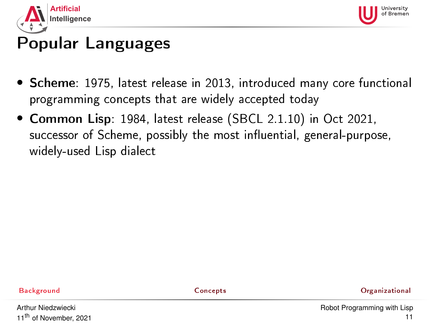



- Scheme: 1975, latest release in 2013, introduced many core functional programming concepts that are widely accepted today
- Common Lisp: 1984, latest release (SBCL 2.1.10) in Oct 2021, successor of Scheme, possibly the most influential, general-purpose, widely-used Lisp dialect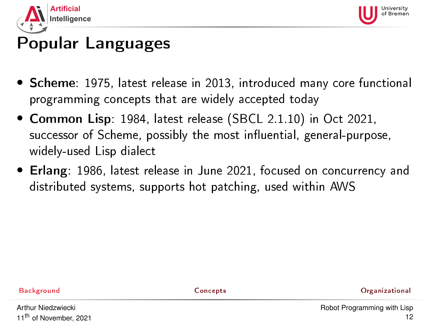



- Scheme: 1975, latest release in 2013, introduced many core functional programming concepts that are widely accepted today
- Common Lisp: 1984, latest release (SBCL 2.1.10) in Oct 2021, successor of Scheme, possibly the most influential, general-purpose, widely-used Lisp dialect
- Erlang: 1986, latest release in June 2021, focused on concurrency and distributed systems, supports hot patching, used within AWS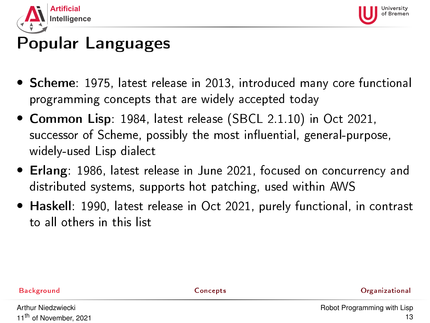



- Scheme: 1975, latest release in 2013, introduced many core functional programming concepts that are widely accepted today
- Common Lisp: 1984, latest release (SBCL 2.1.10) in Oct 2021, successor of Scheme, possibly the most influential, general-purpose, widely-used Lisp dialect
- Erlang: 1986, latest release in June 2021, focused on concurrency and distributed systems, supports hot patching, used within AWS
- Haskell: 1990, latest release in Oct 2021, purely functional, in contrast to all others in this list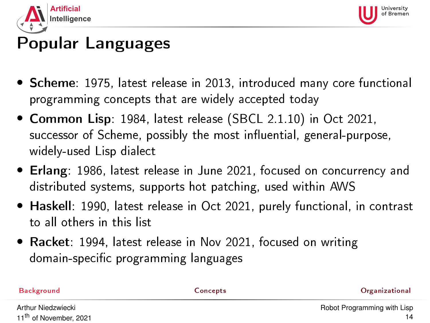<span id="page-13-0"></span>



- Scheme: 1975, latest release in 2013, introduced many core functional programming concepts that are widely accepted today
- Common Lisp: 1984, latest release (SBCL 2.1.10) in Oct 2021, successor of Scheme, possibly the most influential, general-purpose, widely-used Lisp dialect
- Erlang: 1986, latest release in June 2021, focused on concurrency and distributed systems, supports hot patching, used within AWS
- Haskell: 1990, latest release in Oct 2021, purely functional, in contrast to all others in this list
- Racket: 1994, latest release in Nov 2021, focused on writing domain-specific programming languages

| Background                        | Concepts | <b>Organizational</b>       |
|-----------------------------------|----------|-----------------------------|
| Arthur Niedzwiecki                |          | Robot Programming with List |
| 11 <sup>th</sup> of November 2021 |          |                             |

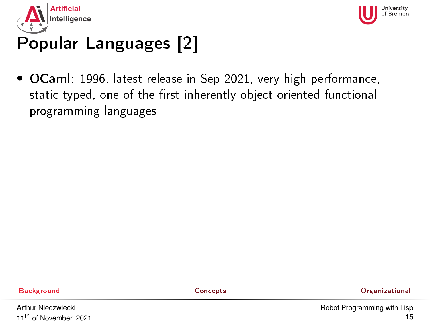<span id="page-14-0"></span>



• OCaml: 1996, latest release in Sep 2021, very high performance, static-typed, one of the first inherently object-oriented functional programming languages

[Background](#page-1-0) [Concepts](#page-19-0) [Organizational](#page-47-0)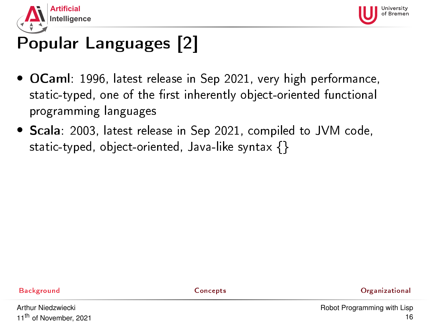



- OCaml: 1996, latest release in Sep 2021, very high performance, static-typed, one of the first inherently object-oriented functional programming languages
- Scala: 2003, latest release in Sep 2021, compiled to JVM code, static-typed, object-oriented, Java-like syntax {}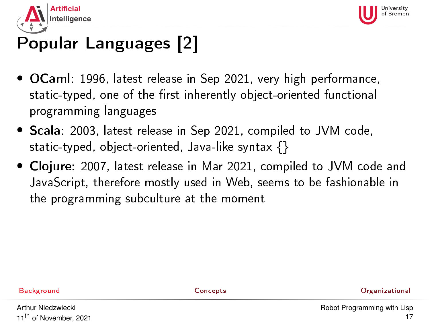



- OCaml: 1996, latest release in Sep 2021, very high performance, static-typed, one of the first inherently object-oriented functional programming languages
- Scala: 2003, latest release in Sep 2021, compiled to JVM code, static-typed, object-oriented, Java-like syntax {}
- Clojure: 2007, latest release in Mar 2021, compiled to JVM code and JavaScript, therefore mostly used in Web, seems to be fashionable in the programming subculture at the moment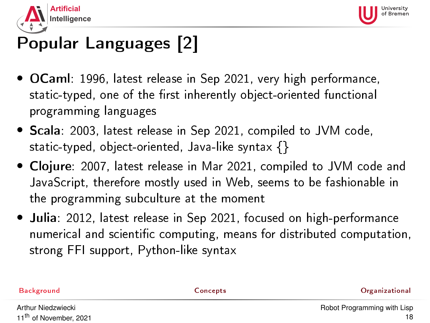



- OCaml: 1996, latest release in Sep 2021, very high performance, static-typed, one of the first inherently object-oriented functional programming languages
- Scala: 2003, latest release in Sep 2021, compiled to JVM code, static-typed, object-oriented, Java-like syntax {}
- Clojure: 2007, latest release in Mar 2021, compiled to JVM code and JavaScript, therefore mostly used in Web, seems to be fashionable in the programming subculture at the moment
- Julia: 2012, latest release in Sep 2021, focused on high-performance numerical and scientic computing, means for distributed computation, strong FFI support, Python-like syntax

[Background](#page-1-0) [Concepts](#page-19-0) [Organizational](#page-47-0) Arthur Niedzwiecki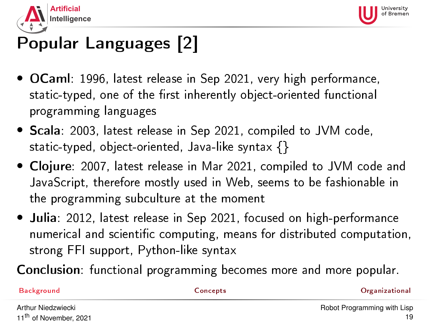<span id="page-18-0"></span>



- OCaml: 1996, latest release in Sep 2021, very high performance, static-typed, one of the first inherently object-oriented functional programming languages
- Scala: 2003, latest release in Sep 2021, compiled to JVM code, static-typed, object-oriented, Java-like syntax {}
- Clojure: 2007, latest release in Mar 2021, compiled to JVM code and JavaScript, therefore mostly used in Web, seems to be fashionable in the programming subculture at the moment
- Julia: 2012, latest release in Sep 2021, focused on high-performance numerical and scientic computing, means for distributed computation, strong FFI support, Python-like syntax

Conclusion: functional programming becomes more and more popular.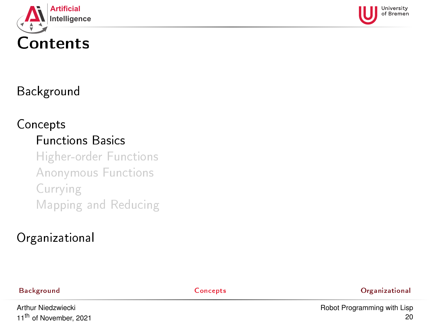<span id="page-19-0"></span>



#### [Background](#page-1-0)

# [Concepts](#page-19-0) [Functions Basics](#page-19-0)

[Higher-order Functions](#page-26-0) [Anonymous Functions](#page-29-0) [Currying](#page-31-0) [Mapping and Reducing](#page-33-0)

### [Organizational](#page-47-0)

[Background](#page-1-0) [Concepts](#page-19-0) [Organizational](#page-47-0)

Arthur Niedzwiecki 11<sup>th</sup> of November, 2021 [Robot Programming with Lisp](#page-0-0) 20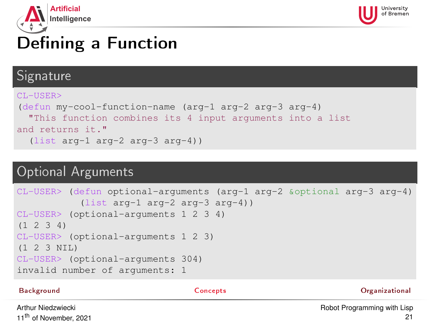<span id="page-20-0"></span>



# Defining a Function

#### Signature

```
CL-USER>
(defun my-cool-function-name (arg-1 arg-2 arg-3 arg-4)
  "This function combines its 4 input arguments into a list
and returns it."
  (list arg-1 arg-2 arg-3 arg-4))
```
#### Optional Arguments

```
CL-USER> (defun optional-arguments (arg-1 arg-2 &optional arg-3 arg-4)
           (list arg-1 arg-2 arg-3 arg-4))
CL-USER> (optional-arguments 1 2 3 4)
(1 \t2 \t3 \t4)CL-USER> (optional-arguments 1 2 3)
(1 2 3 NIL)
CL-USER> (optional-arguments 304)
invalid number of arguments: 1
```
[Background](#page-1-0) [Concepts](#page-19-0) [Organizational](#page-47-0)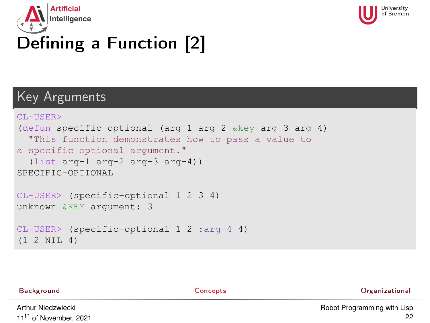<span id="page-21-0"></span>



# Defining a Function [2]

#### Key Arguments

```
CL-USER>
(defun specific-optional (arg-1 arg-2 &key arg-3 arg-4)
  "This function demonstrates how to pass a value to
a specific optional argument."
  (list arg-1 arg-2 arg-3 arg-4))
SPECIFIC-OPTIONAL
CL-USER> (specific-optional 1 2 3 4)
unknown &KEY argument: 3
CL-USER> (specific-optional 1 2 :arg-4 4)
(1 2 NIL 4)
```

| Background                        | Concepts | <b>Organizational</b>       |
|-----------------------------------|----------|-----------------------------|
| Arthur Niedzwiecki                |          | Robot Programming with Lisp |
| 11 <sup>th</sup> of November 2021 |          |                             |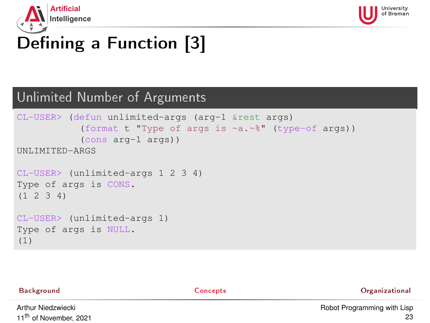<span id="page-22-0"></span>



# Defining a Function [3]

#### Unlimited Number of Arguments

```
CL-USER> (defun unlimited-args (arg-1 &rest args)
           (format t "Type of args is ~a.~%" (type-of args))
           (cons arg-1 args))
UNLIMITED-ARGS
CL-USER> (unlimited-args 1 2 3 4)
Type of args is CONS.
(1 2 3 4)
CL-USER> (unlimited-args 1)
Type of args is NULL.
(1)
```
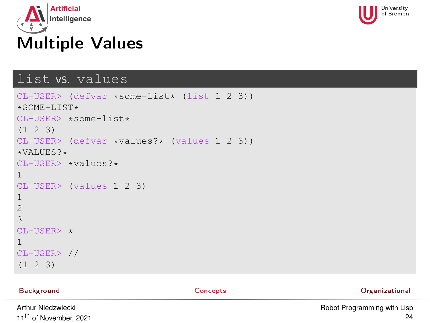<span id="page-23-0"></span>



# Multiple Values

#### list vs. values

```
CL-USER> (defvar *some-list* (list 1 2 3))
*SOME-LIST*CL-USER> *some-list*
(1 2 3)
CL-USER> (defvar *values?* (values 1 2 3))
*VATJIF.S?*CL-USER> *values?*
1
CL-USER> (values 1 2 3)
1
2
3
CI-USER> \star1
CL-USER> //
(1 \t2 \t3)
```
[Background](#page-1-0) [Concepts](#page-19-0) [Organizational](#page-47-0)

Arthur Niedzwiecki 11<sup>th</sup> of November, 2021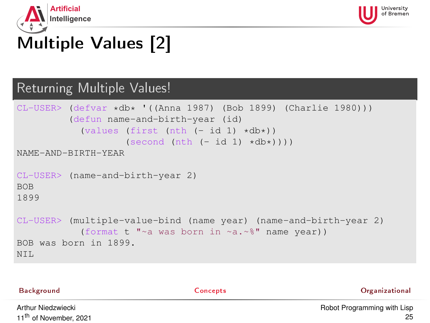<span id="page-24-0"></span>



# Multiple Values [2]

#### Returning Multiple Values!

```
CL-USER> (defvar *db* '((Anna 1987) (Bob 1899) (Charlie 1980)))
          (defun name-and-birth-year (id)
            (values (first (nth (-id 1) *db*))
                     (\text{second (nth (- id 1) *db*)}))NAME-AND-BIRTH-YEAR
CL-USER> (name-and-birth-year 2)
BOB
1899
CL-USER> (multiple-value-bind (name year) (name-and-birth-year 2)
            (format t "~a was born in ~a.~%" name year))
BOB was born in 1899.
NT<sub>L</sub>
```

| Background                        | Concepts | Organizational              |
|-----------------------------------|----------|-----------------------------|
| Arthur Niedzwiecki                |          | Robot Programming with Lisp |
| 11 <sup>th</sup> of November 2021 |          |                             |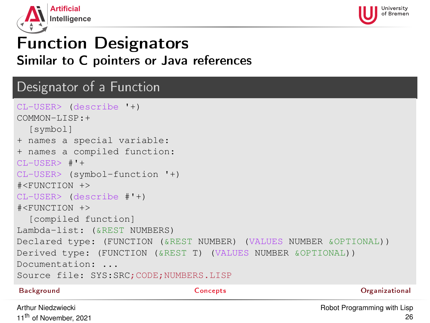<span id="page-25-0"></span>



## Function Designators Similar to C pointers or Java references

#### Designator of a Function

```
CL-USER> (describe '+)
COMMON-LISP:+
  [symbol]
+ names a special variable:
+ names a compiled function:
CL-USER> #'+
CL-USER> (symbol-function '+)
#<FUNCTION +>
CL-USER> (describe #'+)
#<FUNCTION +>
  [compiled function]
Lambda-list: (&REST NUMBERS)
Declared type: (FUNCTION (&REST NUMBER) (VALUES NUMBER &OPTIONAL))
Derived type: (FUNCTION (&REST T) (VALUES NUMBER &OPTIONAL))
Documentation: ...
Source file: SYS:SRC;CODE;NUMBERS.LISP
Background Concepts Organizational
```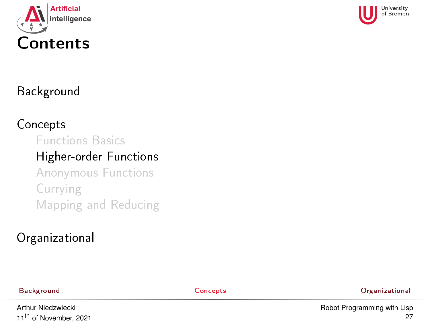<span id="page-26-0"></span>



### [Background](#page-1-0)

#### [Concepts](#page-19-0)

#### [Functions Basics](#page-19-0)

#### [Higher-order Functions](#page-26-0)

[Anonymous Functions](#page-29-0) [Currying](#page-31-0) [Mapping and Reducing](#page-33-0)

### [Organizational](#page-47-0)

[Background](#page-1-0) [Concepts](#page-19-0) [Organizational](#page-47-0)

Arthur Niedzwiecki 11<sup>th</sup> of November, 2021 [Robot Programming with Lisp](#page-0-0) 27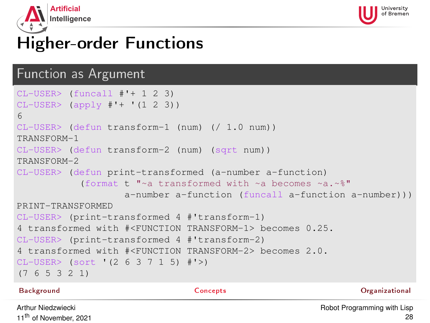



## Higher-order Functions

#### Function as Argument

```
CL-USER> (funcall #'+ 1 2 3)
CL-USER (apply \# I + I (1 2 3))
6
CL-USER> (defun transform-1 (num) (/ 1.0 num))
TRANSFORM-1
CL-USER> (defun transform-2 (num) (sqrt num))
TRANSFORM-2
CL-USER> (defun print-transformed (a-number a-function)
           (format t "~a transformed with ~a becomes ~a.~%"
                   a-number a-function (funcall a-function a-number)))
PRINT-TRANSFORMED
CL-USER> (print-transformed 4 #'transform-1)
4 transformed with #<FUNCTION TRANSFORM-1> becomes 0.25.
CL-USER> (print-transformed 4 #'transform-2)
4 transformed with #<FUNCTION TRANSFORM-2> becomes 2.0.
CL-USER> (sort '(2 6 3 7 1 5) #'>)
(7 6 5 3 2 1)
```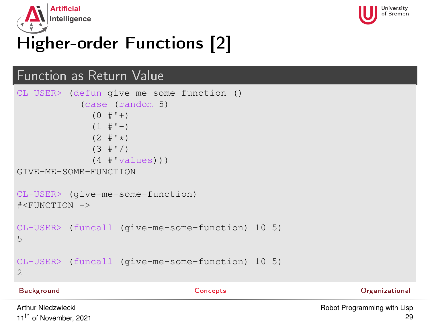



# Higher-order Functions [2]

### Function as Return Value

```
CL-USER> (defun give-me-some-function ()
            (case (random 5)
              (0 + '+)(1 + 1)(2 + '')(3 + '')(4 \#'values)))
GIVE-ME-SOME-FUNCTION
CL-USER> (give-me-some-function)
#<FUNCTION ->
CL-USER> (funcall (give-me-some-function) 10 5)
5
CL-USER> (funcall (give-me-some-function) 10 5)
\overline{a}
```
[Background](#page-1-0) [Concepts](#page-19-0) [Organizational](#page-47-0)

Arthur Niedzwiecki 11<sup>th</sup> of November, 2021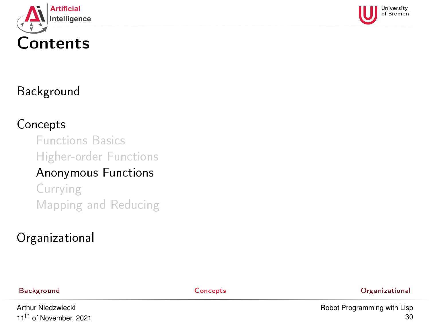<span id="page-29-0"></span>



### [Background](#page-1-0)

#### [Concepts](#page-19-0)

[Functions Basics](#page-19-0) [Higher-order Functions](#page-26-0) [Anonymous Functions](#page-29-0)

[Currying](#page-31-0) [Mapping and Reducing](#page-33-0)

#### [Organizational](#page-47-0)

[Background](#page-1-0) [Concepts](#page-19-0) [Organizational](#page-47-0)

Arthur Niedzwiecki 11<sup>th</sup> of November, 2021 [Robot Programming with Lisp](#page-0-0) 30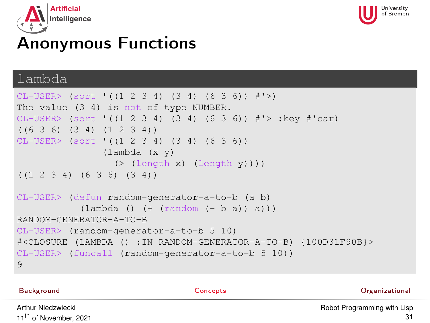



## Anonymous Functions

#### lambda

```
CL-USER> (sort '((1 2 3 4) (3 4) (6 3 6)) #'>)
The value (3 4) is not of type NUMBER.
CL-USER > (sort (1 2 3 4) (3 4) (6 3 6)) \#'> :key \#'car)
((6 3 6) (3 4) (1 2 3 4))
CL-USER> (sort '((1 2 3 4) (3 4) (6 3 6))
                (lambda (x y)
                  ( (length x) (length y) ))
((1 2 3 4) (6 3 6) (3 4))
CL-USER> (defun random-generator-a-to-b (a b)
            (\lambda) (1 ambda () (+ (random (- b a)) a)))
RANDOM-GENERATOR-A-TO-B
CL-USER> (random-generator-a-to-b 5 10)
#<CLOSURE (LAMBDA () :IN RANDOM-GENERATOR-A-TO-B) {100D31F90B}>
CL-USER> (funcall (random-generator-a-to-b 5 10))
9
```
Arthur Niedzwiecki 11<sup>th</sup> of November, 2021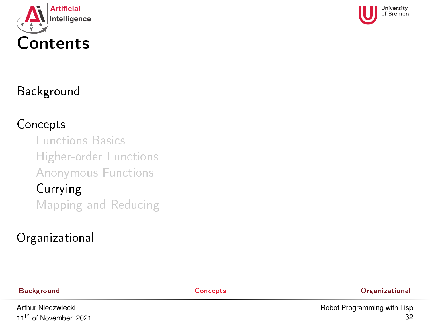<span id="page-31-0"></span>



### [Background](#page-1-0)

#### [Concepts](#page-19-0)

[Functions Basics](#page-19-0) [Higher-order Functions](#page-26-0) [Anonymous Functions](#page-29-0) [Currying](#page-31-0)

[Mapping and Reducing](#page-33-0)

### [Organizational](#page-47-0)

[Background](#page-1-0) [Concepts](#page-19-0) [Organizational](#page-47-0)

Arthur Niedzwiecki 11<sup>th</sup> of November, 2021 [Robot Programming with Lisp](#page-0-0) 32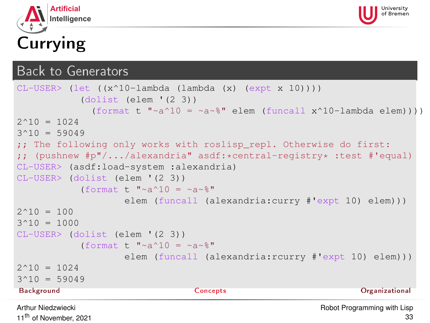



#### Back to Generators

```
CL-USER> (let ((x^10-lambda (lambda (x) (expt x 10))))
            (dolist (elem '(2 3))
              (format t "\sim a \cdot 10 = \sim a \cdot 8" elem (funcall x \cdot 10-lambda elem))))
2^10 = 10243^10 = 59049;; The following only works with roslisp repl. Otherwise do first:
;; (pushnew \#p''/.../alexandria" asdf: * central-reqistry * : test \# 'equal)
CL-USER> (asdf:load-system :alexandria)
CL-USER> (dolist (elem '(2 3))
            (format t "~a^10 = ~a~%"
                    elem (funcall (alexandria:curry #'expt 10) elem)))
2^{\wedge}10 = 1003^{\wedge}10 = 1000CL-USER> (dolist (elem '(2 3))
            (format t \sqrt{a^2+10} = -a^2elem (funcall (alexandria:rcurry #'expt 10) elem)))
2^10 = 10243^10 = 59049Background Concepts Organizational
Arthur Niedzwiecki
                                                         Robot Programming with Lisp
```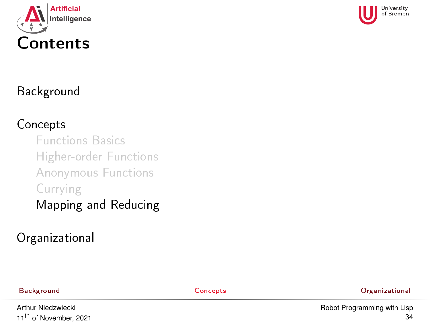<span id="page-33-0"></span>



#### [Background](#page-1-0)

#### [Concepts](#page-19-0)

[Functions Basics](#page-19-0) [Higher-order Functions](#page-26-0) [Anonymous Functions](#page-29-0) [Currying](#page-31-0)

### [Mapping and Reducing](#page-33-0)

#### [Organizational](#page-47-0)

[Background](#page-1-0) [Concepts](#page-19-0) [Organizational](#page-47-0)

Arthur Niedzwiecki 11<sup>th</sup> of November, 2021 [Robot Programming with Lisp](#page-0-0) 34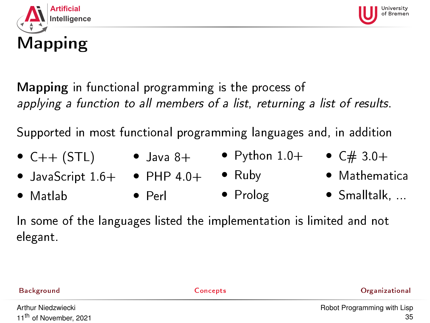



Supported in most functional programming languages and, in addition

- $\bullet$  C++ (STL)
- Java 8+ Python  $1.0+$   $C#3.0+$ 
	-

- $\bullet$  JavaScript  $1.6+$   $\bullet$  PHP  $4.0+$ • Ruby
- Matlab • Perl • Prolog
- Mathematica
	- Smalltalk, ...

In some of the languages listed the implementation is limited and not elegant.

| Background                        | Concepts | Organizational              |
|-----------------------------------|----------|-----------------------------|
| Arthur Niedzwiecki                |          | Robot Programming with Lisp |
| 11 <sup>th</sup> of November 2021 |          |                             |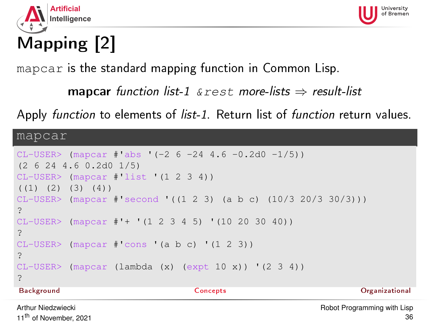



# Mapping [2]

mapcar is the standard mapping function in Common Lisp.

```
mapcar function list-1 \& rest more-lists \Rightarrow result-list
```
Apply function to elements of list-1. Return list of function return values.

mapcar

```
CL-USER > (mapcar #'abs '(-2 6 -24 4.6 -0.2d0 -1/5))(2 6 24 4.6 0.2d0 1/5)
CL-USER> (mapcar #'list '(1 2 3 4))
(1) (2) (3) (4)CL-USER> (mapcar #'second '((1 2 3) (a b c) (10/3 20/3 30/3)))
?
CI-USER (mapcar #'+ '(1 2 3 4 5) '(10 20 30 40))
?
CL-USER (mapcar #'cons '(a b c) '(1 2 3))
?
CL-USER > (mapcar (lambda (x) (expt 10 x)) ' (2 3 4))?
Background Concepts Organizational
Arthur Niedzwiecki
                                                    Robot Programming with Lisp
```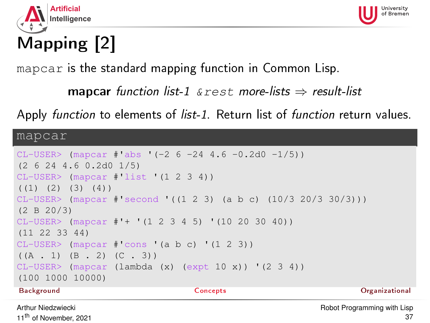



# Mapping [2]

mapcar is the standard mapping function in Common Lisp.

```
mapcar function list-1 \& rest more-lists \Rightarrow result-list
```
Apply function to elements of list-1. Return list of function return values.

mapcar

```
CL-USER > (mapcar #'abs '(-2 6 -24 4.6 -0.2d0 -1/5))(2 6 24 4.6 0.2d0 1/5)
CL-USER> (mapcar #'list '(1 2 3 4))
(1) (2) (3) (4)CL-USER> (mapcar #'second '((1 2 3) (a b c) (10/3 20/3 30/3)))
(2 B 20/3)
CL-USER (mapcar #'+ '(1 2 3 4 5) '(10 20 30 40))
(11 22 33 44)
CL-USER (mapcar #'cons '(a b c) '(1 2 3))
((A \cdot 1) (B \cdot 2) (C \cdot 3))CL-USER > (mapcar (lambda (x) (expt 10 x)) ' (2 3 4))(100 1000 10000)
Background Concepts Organizational
Arthur Niedzwiecki
```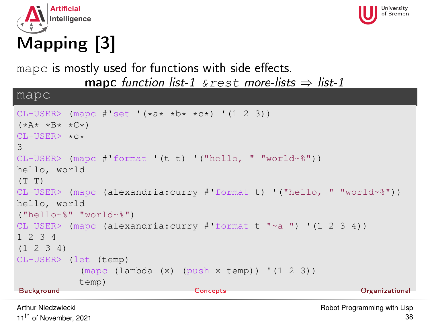



# Mapping [3]

mapc is mostly used for functions with side effects.

mapc function list-1  $\&$  rest more-lists  $\Rightarrow$  list-1

mapc

```
CL-USER> (mapc \#'set '(*a* *b* *c*) '(1 2 3))
(\star \lambda \star \star \lambda + \star C \star)CI-USER>*\alpha*3
CL-USER> (mapc #'format '(t t) '("hello, " "world~%"))
hello, world
(T T)CL-USER> (mapc (alexandria:curry #'format t) '("hello, " "world~%"))
hello, world
("hello~%" "world~%")
CL-USER> (mapc (alexandria:curry #'format t "~a ") '(1 2 3 4))
1 2 3 4
(1 2 3 4)
CL-USER> (let (temp)
            (\text{mapc (lambda (x) (push x temp)) ' (1 2 3))})temp)
Background Concepts Organizational
```
Arthur Niedzwiecki 11<sup>th</sup> of November, 2021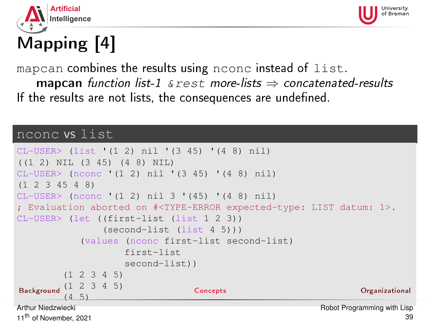



# Mapping [4]

mapcan combines the results using nconc instead of list. mapcan function list-1  $\&$  rest more-lists  $\Rightarrow$  concatenated-results If the results are not lists, the consequences are undefined.

#### nconc vs list

```
CL-USER> (list '(1 2) nil '(3 45) '(4 8) nil)
((1 2) NIL (3 45) (4 8) NIL)
CL-USER> (nconc '(1 2) nil '(3 45) '(4 8) nil)
(1 2 3 45 4 8)
CL-USER> (nconc '(1 2) nil 3 '(45) '(4 8) nil)
; Evaluation aborted on #<TYPE-ERROR expected-type: LIST datum: 1>.
CL-USER> (let ((first-list (list 1 2 3))
                     (second-list (list 4 5)))
               (values (nconc first-list second-list)
                          first-list
                          second-list))
           (1 2 3 4 5)
BackgroundConcepts Concepts Concepts Concepts Concepts Concepts Concepts Concepts Concepts Concepts Concepts Concepts Concepts Concepts Concepts Concepts Concepts Concepts Concepts Concepts Concepts Concepts 
           (4.5)Arthur Niedzwiecki
11<sup>th</sup> of November, 2021
                                                                          Robot Programming with Lisp
```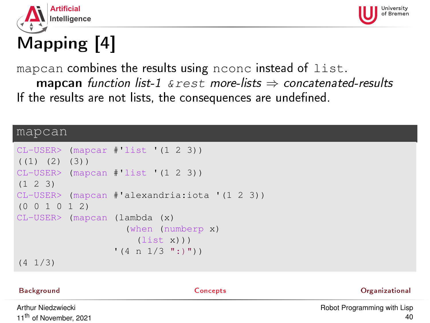



# Mapping [4]

mapcan combines the results using nconc instead of list. **mapcan** function list-1  $\&$  rest more-lists  $\Rightarrow$  concatenated-results If the results are not lists, the consequences are undefined.

#### mapcan

```
CL-USER> (mapcar #'list '(1 2 3))
(1) (2) (3)CL-USER> (mapcan #'list '(1 2 3))
(1 2 3)
CL-USER> (mapcan #'alexandria:iota '(1 2 3))
(0 0 1 0 1 2)
CL-USER> (mapcan (lambda (x)
                   (when (numberp x)
                     (list x))(4 n 1/3 ":)")(4 1/3)
```
## [Background](#page-1-0) [Concepts](#page-19-0) [Organizational](#page-47-0) Arthur Niedzwiecki

11<sup>th</sup> of November, 2021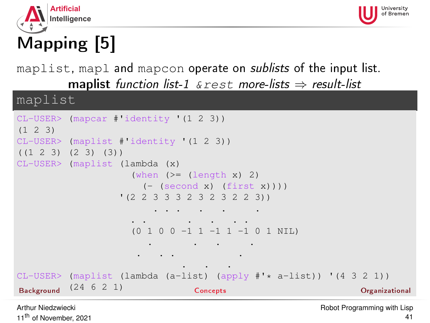



# Mapping [5]

maplist, mapl and mapcon operate on *sublists* of the input list. maplist function list-1  $\&$  rest more-lists  $\Rightarrow$  result-list

maplist

```
CL-USER> (mapcar #'identity '(1 2 3))
(1 2 3)
CL-USER> (maplist #'identity '(1 2 3))
((1 2 3) (2 3) (3))
CL-USER> (maplist (lambda (x)
                          (when (>= (length x) 2)
                             (- (second x) (first x))))
                       '(2 2 3 3 3 2 3 2 3 2 2 3))
                               . . . . . .
                          . . . . . .
                          (0 1 0 0 -1 1 -1 1 -1 0 1 NIL)
                              . . . .
                           . . . .
                                      . . .
CL-USER> (maplist (lambda (a-list) (apply \sharp'* a-list)) '(4 3 2 1))<br>Beckground (24 6 2 1) Concents
Concepts Concepts Concept Concepts Concept Concept Concepts Concept Concept Concept Concept Concept Concept Concept Concept Concept Concept Concept Concept Concept Concept Concept Concept Concept Conc
```
Arthur Niedzwiecki 11<sup>th</sup> of November, 2021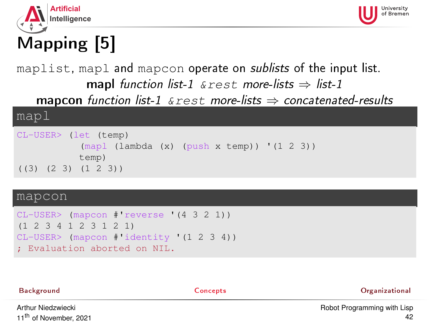



# Mapping [5]

#### maplist, mapl and mapcon operate on *sublists* of the input list. mapl function list-1  $\&$ rest more-lists  $\Rightarrow$  list-1 **mapcon** function list-1  $\&$  rest more-lists  $\Rightarrow$  concatenated-results

#### mapl

```
CL-USER> (let (temp)
           (mapl (lambda (x) (push x temp)) '(1 2 3))
           temp)
((3) (2 3) (1 2 3))
```
#### mapcon

```
CL-USER> (mapcon #'reverse '(4 3 2 1))
(1 2 3 4 1 2 3 1 2 1)
CL-USER> (mapcon #'identity '(1 2 3 4))
; Evaluation aborted on NIL.
```

| Background         | Concepts | Organizational                     |
|--------------------|----------|------------------------------------|
| Arthur Niodmuiooki |          | <b>Dobot Drogramming with Line</b> |

Arthur Niedzwiecki 11<sup>th</sup> of November, 2021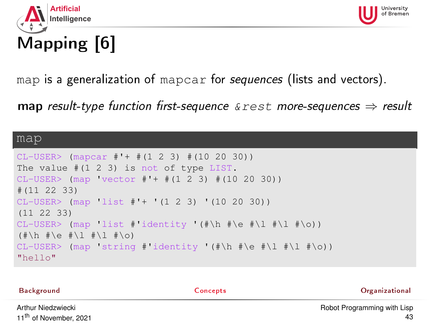



### map is a generalization of mapcar for sequences (lists and vectors).

**map** result-type function first-sequence  $\&$  rest more-sequences  $\Rightarrow$  result

#### map

```
CL-USER> (mapcar #'+ #(1 2 3) #(10 20 30))
The value #(1 2 3) is not of type LIST.
CL-USER> (map 'vector #'+ #(1 2 3) #(10 20 30))
#(11 22 33)
CL-USER> (map 'list #'+ '(1 2 3) '(10 20 30))
(11 22 33)
CL-USER> (map 'list #'identity '(#\h #\e #\l #\l #\o))
(\# \hbox{$\wedge$} \# \e \# \lbox{$\wedge$} \# \lbox{$\wedge$} \# \lbox{$\wedge$} \# \lbox{$\wedge$} \# \lbox{$\wedge$} \# \lbox{$\wedge$} \phi)CL-USER> (map 'string #'identity '(#\h #\e #\l #\l #\o))
"hello"
```

| Background         | Concepts | Organizational              |
|--------------------|----------|-----------------------------|
| Arthur Niedzwiecki |          | Robot Programming with Lisp |

Art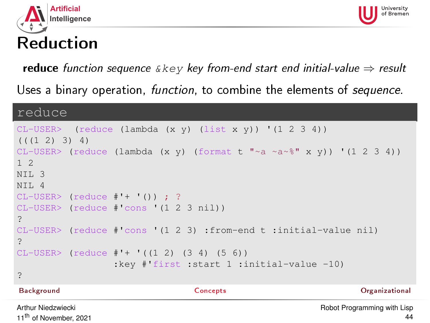



## Reduction

reduce function sequence  $\&key$  key from-end start end initial-value  $\Rightarrow$  result

Uses a binary operation, *function*, to combine the elements of *sequence*.

#### reduce

```
CL-USER> (reduce (lambda (x y) (list x y)) '(1 2 3 4))
((1 2) 3) 4)CL-USER> (reduce (lambda (x y) (format t "~a ~a~%" x y)) '(1 2 3 4))
1 2
NTL<sub>3</sub>
NTT. 4
CL-USER> (reduce \#'+ '() ; ?
CL-USER> (reduce #'cons '(1 2 3 nil))
?
CL-USER> (reduce #'cons '(1 2 3) :from-end t :initial-value nil)
?
CL-USER> (reduce #'+ '((1 2) (3 4) (5 6))
                :key #'first :start 1 :initial-value -10)
?
Background Concepts Organizational
```
Arthur Niedzwiecki 11<sup>th</sup> of November, 2021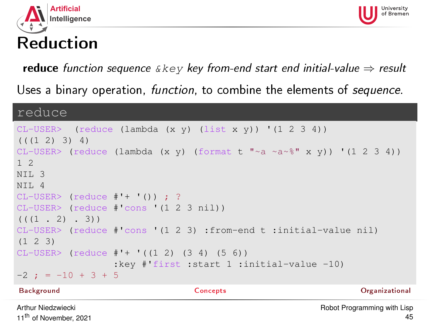



# Reduction

reduce function sequence  $\&key$  key from-end start end initial-value  $\Rightarrow$  result

Uses a binary operation, *function*, to combine the elements of *sequence*.

#### reduce

11<sup>th</sup> of November, 2021

```
CL-USER> (reduce (lambda (x y) (list x y)) '(1 2 3 4))
((1 2) 3) 4)CL-USER> (reduce (lambda (x y) (format t "~a ~a~%" x y)) '(1 2 3 4))
1 2
NTL<sub>3</sub>
NTT. 4
CL-USER> (reduce #'+ '()) ; ?
CL-USER> (reduce #'cons '(1 2 3 nil))
((1, 2), (3))CL-USER> (reduce #'cons '(1 2 3) :from-end t :initial-value nil)
(1 2 3)
CL-USER (reduce #'+ '(12) (34) (56))
                 :key #'first :start 1 :initial-value -10)
-2 ; = -10 + 3 + 5
Background Concepts Organizational
Arthur Niedzwiecki
                                                     Robot Programming with Lisp
```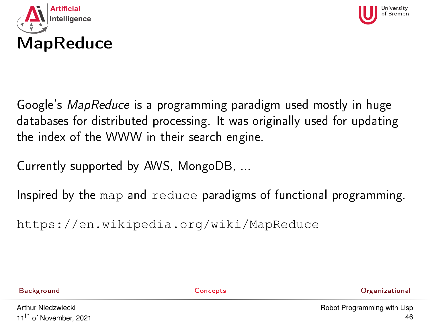



Google's MapReduce is a programming paradigm used mostly in huge databases for distributed processing. It was originally used for updating the index of the WWW in their search engine.

Currently supported by AWS, MongoDB, ...

Inspired by the map and reduce paradigms of functional programming.

<https://en.wikipedia.org/wiki/MapReduce>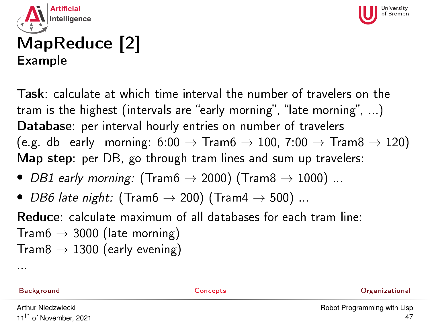



## MapReduce [2] Example

Task: calculate at which time interval the number of travelers on the tram is the highest (intervals are "early morning", "late morning",  $\ldots$ ) Database: per interval hourly entries on number of travelers (e.g. db early morning: 6:00  $\rightarrow$  Tram6  $\rightarrow$  100, 7:00  $\rightarrow$  Tram8  $\rightarrow$  120) Map step: per DB, go through tram lines and sum up travelers:

- DB1 early morning: (Tram $6 \rightarrow 2000$ ) (Tram $8 \rightarrow 1000$ ) ...
- DB6 late night: (Tram6  $\rightarrow$  200) (Tram4  $\rightarrow$  500) ...

Reduce: calculate maximum of all databases for each tram line: Tram6  $\rightarrow$  3000 (late morning)  $Trans \rightarrow 1300$  (early evening)

...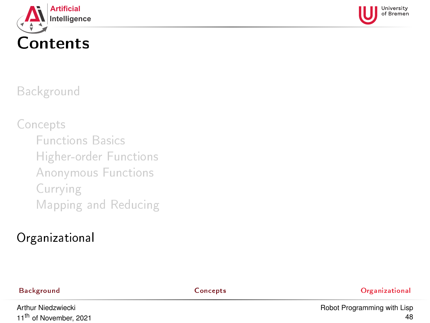<span id="page-47-0"></span>



#### [Background](#page-1-0)

[Concepts](#page-19-0)

- [Functions Basics](#page-19-0)
- [Higher-order Functions](#page-26-0)
- [Anonymous Functions](#page-29-0)
- [Currying](#page-31-0)
- [Mapping and Reducing](#page-33-0)

### [Organizational](#page-47-0)

[Background](#page-1-0) [Concepts](#page-19-0) [Organizational](#page-47-0)

Arthur Niedzwiecki 11<sup>th</sup> of November, 2021 [Robot Programming with Lisp](#page-0-0) 48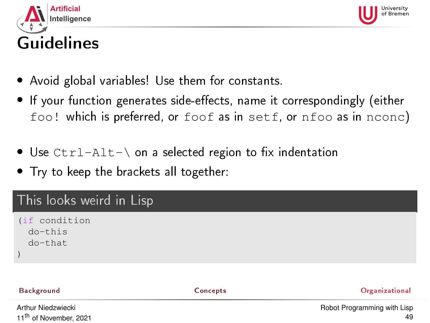<span id="page-48-0"></span>



49

#### • Avoid global variables! Use them for constants.

- If your function generates side-effects, name it correspondingly (either foo! which is preferred, or foof as in setf, or nfoo as in nconc)
- Use  $Ctrl-Alt-\$  on a selected region to fix indentation
- Try to keep the brackets all together:

#### This looks weird in Lisp

```
(if condition
  do-this
  do-that
)
```
11<sup>th</sup> of November, 2021

| This looks weird in Lisp            |          |                             |
|-------------------------------------|----------|-----------------------------|
| (if condition<br>do-this<br>do-that |          |                             |
| Background                          | Concepts | Organizational              |
| Arthur Niedzwiecki                  |          | Robot Programming with Lisp |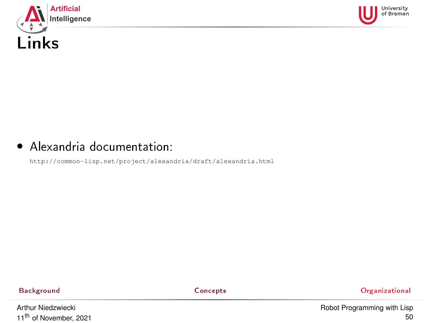<span id="page-49-0"></span>



#### • Alexandria documentation:

<http://common-lisp.net/project/alexandria/draft/alexandria.html>

[Background](#page-1-0) [Concepts](#page-19-0) [Organizational](#page-47-0)

Arthur Niedzwiecki 11<sup>th</sup> of November, 2021 [Robot Programming with Lisp](#page-0-0) 50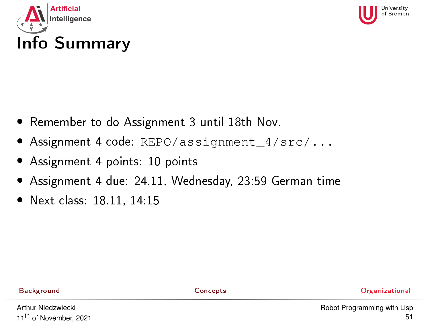<span id="page-50-0"></span>



# Info Summary

- Remember to do Assignment 3 until 18th Nov.
- Assignment 4 code: REPO/assignment 4/src/...
- Assignment 4 points: 10 points
- Assignment 4 due: 24.11, Wednesday, 23:59 German time
- Next class: 18.11, 14:15